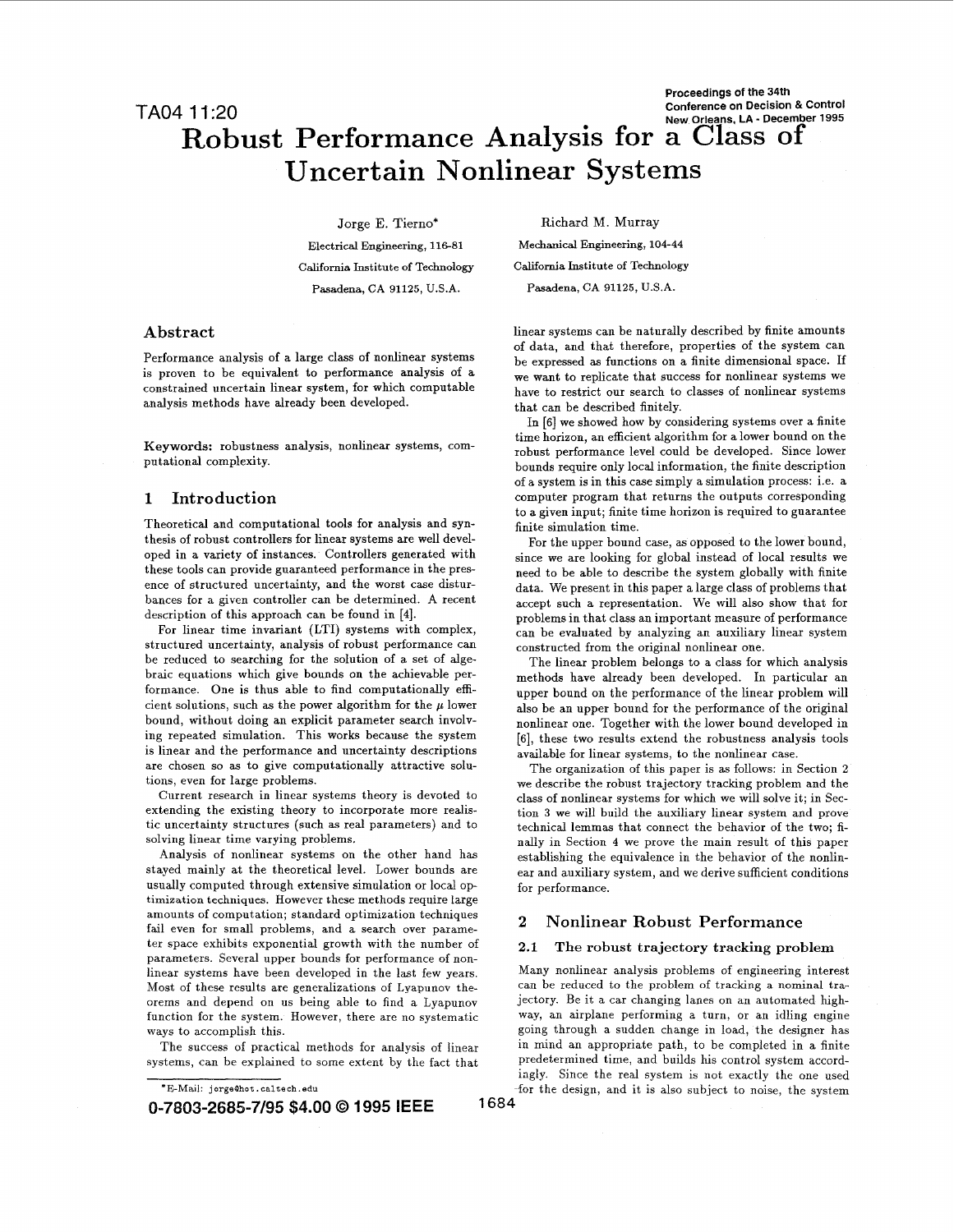# **Robust Performance Analysis for a Class of Uncertain Nonlinear Systems**

Jorge E. Tierno\* **Electrical Engineering, 116-81 California Institute of Technology Pasadena, CA 91125, U.S.A.** 

## **Abstract**

Performance analysis of a large class of nonlinear systems is proven to be equivalent to performance analysis of a constrained uncertain linear system, for which computable analysis methods have already been developed.

Theoretical and computational tools for analysis and syn-<br>thesis of robust controllers for linear systems are well developed in a variety of instances. Controllers generated with since we are looking for global instead of local results we<br>these tools can provide guaranteed performance in the pres-<br>need to be able to describe the system glob these tools can provide guaranteed performance in the pres-<br>ence of structured uncertainty, and the worst case distur-<br>bances for a given controller can be determined. A recent<br>accept such a representation. We will also sh bances for a given controller can be determined. A recent accept such a representation. We will also show that for<br>description of this approach can be found in [4].

structured uncertainty, analysis of robust performance can constructed from the original nonlinear one. be reduced to searching for the solution of a set of alge-<br>braic equations which give bounds on the achievable per-<br>methods have already been developed. In particular an braic equations which give bounds on the achievable per-<br>formance. One is thus able to find computationally effi-<br>cient solutions, such as the power algorithm for the  $\mu$  lower<br>also be an upper bound for the performance bound, without doing an explicit parameter search involv-<br>nonlinear one. Together with the lower bound developed in ing repeated simulation. This works because the **[6],** these two results extend the robustness analysis tools is linear and the performance and uncertainty descriptions available for linear systems, to the nonlinear case.<br>are chosen so as to give computationally attractive solu-<br>The organization of this paper is as follows: in S are chosen *so* as to give computationally attractive solu- The organization of this paper is as follows: in Section **2** 

Current research in linear systems theory is devoted to class of nonlinear systems for which we will solve it; in Sec-<br>extending the existing theory to incorporate more realis-<br>tion 3 we will build the auxiliary linear sys extending the existing theory to incorporate more realis-<br>tic uncertainty structures (such as real parameters) and to technical lemmas that connect the behavior of the two tic uncertainty structures (such as real parameters) and to technical lemmas that connect the behavior of the two; fi-<br>solving linear time varying problems.

stayed mainly at the theoretical level. Lower bounds are ear and auxiliary system, and we derive sufficient conditions usually computed through extensive simulation or local op-<br>for performance. timization *techniques*. However these methods require large amounts of computation; standard optimization techniques fail even for small problems, and a search over parameter space exhibits exponential growth with the number of parameters. Several upper bounds for performance of nonlinear systems have been developed in the last few years. Most of these results are generalizations of Lyapunov theorems and depend on us being able to find a Lyapunov function for the system. However, there are no systematic ways to accomplish this.

The success of practical methods for analysis of linear The success of practical methods for analysis of linear<br>systems, can be explained to some extent by the fact that

Many nonlinear analysis problems of engineering interest can be reduced to the problem of tracking a nominal trajectory. Be it a car changing lanes on an automated highway, an airplane Performing a turn, or an idling engine going through a sudden change in load, the designer has in mind an appropriate path, to be completed in a finite predetermined time, and builds his control system accordiagly. Since the real system is not exactly the one used

for the design, and it is also subject to noise, the system **1684** 

**Mechanical Engineering, 104-44 California Institute of Technology Pasadena, CA 91125, U.S.A.** 

Richard M. Murray

linear systems can be naturally described by finite amounts of data, and that therefore, properties of the system can be expressed as functions on a finite dimensional space. If we want to replicate that success for nonlinear systems we have to restrict our search to classes of nonlinear systems that can be described finitely.

In **[6]** we showed how by considering systems over a finite time horizon, an efficient algorithm for a lower bound on the **Keywords:** robustness analysis, nonlinear systems, com-<br>putational complexity.<br>bounds require only local information, the finite description<br>bounds require only local information, the finite description of a system is in this case simply a simulation process: i.e. a **1 Introduction** computer program that returns the outputs corresponding to a given input; finite time horizon is required to guarantee

For the upper bound case, as opposed to the lower bound, description of this approach can be found in [4].<br>
For linear time invariant (LTI) systems with complex, can be evaluated by analyzing an auviliary linear system can be evaluated by analyzing an auxiliary linear system

also be an upper bound for the performance of the original

ons, even for large problems.<br>Current research in linear systems theory is devoted to class of nonlinear systems for which we will solve it; in Sec-Iving linear time varying problems.<br>Analysis of nonlinear systems on the other hand has establishing the equivalence in the behavior of the nonlinestablishing the equivalence in the behavior of the nonlin-

# **2 Nonlinear Robust Performance**

# **2.1 The robust trajectory tracking problem**

<sup>\*</sup>E-Mail **JorgeBhot** . **caltech.** *edu* 

**<sup>0-7803-2685-7/95 \$4.00</sup>** Q **1995 IEEE**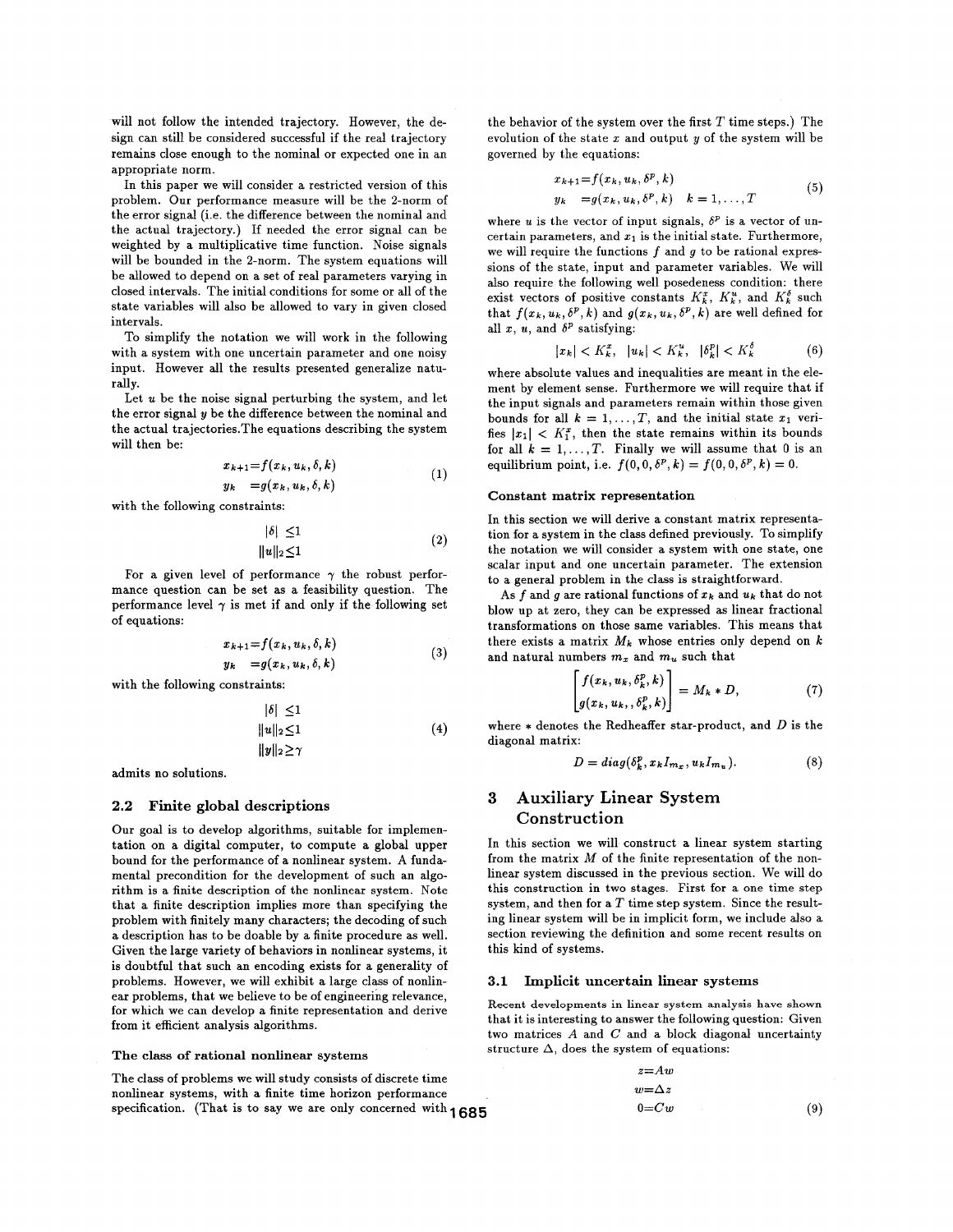will not follow the intended trajectory. However, the design can still be considered successful if the real trajectory remains close enough to the nominal or expected one in an appropriate norm.

In this paper we will consider a restricted version of this problem. Our performance measure will be the 2-norm of the error signal (i.e. the difference between the nominal and the actual trajectory.) If needed the error signal can be weighted by a multiplicative time function. Noise signals will be bounded in the 2-norm. The system equations will be allowed to depend on a set of real parameters varying in closed intervals. The initial conditions for some or all of the state variables will also be allowed to vary in given closed intervals.

To simplify the notation we will work in the following with a system with one uncertain parameter and one noisy input. However all the results presented generalize naturally.

Let *u* be the noise signal perturbing the system, and let the error signal **y** be the difference between the nominal and the actual trajectories.The equations describing the system will then be:

$$
x_{k+1} = f(x_k, u_k, \delta, k)
$$
  
\n
$$
y_k = g(x_k, u_k, \delta, k)
$$
 (1)

with the following constraints:

$$
|\delta| \le 1
$$
  

$$
||u||_2 \le 1
$$
 (2)

For a given level of performance  $\gamma$  the robust performance question can be set as a feasibility question. The performance level  $\gamma$  is met if and only if the following set of equations:

$$
x_{k+1} = f(x_k, u_k, \delta, k)
$$
  
\n
$$
y_k = g(x_k, u_k, \delta, k)
$$
 (3)

with the following constraints:

$$
|\delta| \le 1
$$
  
 
$$
||u||_2 \le 1
$$
  
 
$$
||y||_2 \ge \gamma
$$
 (4)

admits no solutions.

#### **2.2 Finite global descriptions**

Our goal is to develop algorithms, suitable for implementation on a digital computer, to compute a global upper bound for the performance of a nonlinear system. **A** fundamental precondition for the development of such an algorithm is a finite description of the nonlinear system. Note that a finite description implies more than specifying the problem with finitely many characters; the decoding of such a description has to be doable by a finite procedure **as** well. Given the large variety of behaviors in nonlinear systems, it is doubtful that such an encoding exists for a generality of problems. However, we will exhibit a large class of nonlinear problems, that we believe to be of engineering relevance, for which we can develop a finite representation and derive from it efficient analysis algorithms.

#### **The class of rational nonlinear systems**

The class of problems we will study consists of discrete time nonlinear systems, with a finite time horizon performance specification. (That is to say we are only concerned with **1685** 

the behavior of the system over the first *T* time steps.) The evolution of the state *x* and output **y** of the system will be governed by the equations:

$$
x_{k+1} = f(x_k, u_k, \delta^p, k)
$$
  
\n
$$
y_k = g(x_k, u_k, \delta^p, k) \quad k = 1, \dots, T
$$
\n(5)

where *u* is the vector of input signals,  $\delta^p$  is a vector of uncertain parameters, and *x1* is the initial state. Furthermore, we will require the functions *f* and *q* to be rational expressions of the state, input and parameter variables. We will also require the following well posedeness condition: there exist vectors of positive constants  $K_k^x$ ,  $K_k^u$ , and  $K_k^{\delta}$  such that  $f(x_k, u_k, \delta^p, k)$  and  $g(x_k, u_k, \delta^p, k)$  are well defined for all  $x$ ,  $u$ , and  $\delta^p$  satisfying:

$$
|x_k| < K_k^x, \quad |u_k| < K_k^u, \quad |\delta_k^p| < K_k^{\delta} \tag{6}
$$

where absolute values and inequalities are meant in the element by element sense. Furthermore we will require that if the input signals and parameters remain within those given bounds for all  $k = 1, ..., T$ , and the initial state  $x_1$  verifies  $|x_1|$  <  $K_1^x$ , then the state remains within its bounds for all  $k = 1, ..., T$ . Finally we will assume that 0 is an equilibrium point, i.e.  $f(0, 0, \delta^p, k) = f(0, 0, \delta^p, k) = 0.$ 

#### **Constant matrix representation**

In this section we will derive a constant matrix representation for a system in the class defined previously. To simplify the notation we will consider a system with one state, one scalar input and one uncertain parameter. The extension to a general problem in the class is straightforward.

As f and g are rational functions of  $x_k$  and  $u_k$  that do not blow up at zero, they can be expressed as linear fractional transformations on those same variables. This means that there exists a matrix *Mk* whose entries only depend on *<sup>k</sup>* and natural numbers *m,* and *mu* such that

$$
\begin{bmatrix} f(x_k, u_k, \delta_k^p, k) \\ g(x_k, u_k, \delta_k^p, k) \end{bmatrix} = M_k * D, \tag{7}
$$

where  $*$  denotes the Redheaffer star-product, and  $D$  is the diagonal matrix:

$$
D = diag(\delta_k^p, x_k I_{m_x}, u_k I_{m_u}).
$$
\n(8)

# **3 Auxiliary Linear System Construction**

In this section we will construct a linear system starting from the matrix *M* of the finite representation of the nonlinear system discussed in the previous section. We will do this construction in two stages. First for a one time step system, and then for a *T* time step system. Since the resulting linear system will be in implicit form, we include also a section reviewing the definition and some recent results on this kind of systems.

#### **3.1 Implicit uncertain linear systems**

**Recent developments in linear system analysis have shown**  that it is interesting to answer the following question: Given two matrices A and *C* and a block diagonal uncertainty structure  $\Delta$ , does the system of equations:

$$
z=Aw
$$
  
\n
$$
w=\Delta z
$$
  
\n
$$
0=Cw
$$
 (9)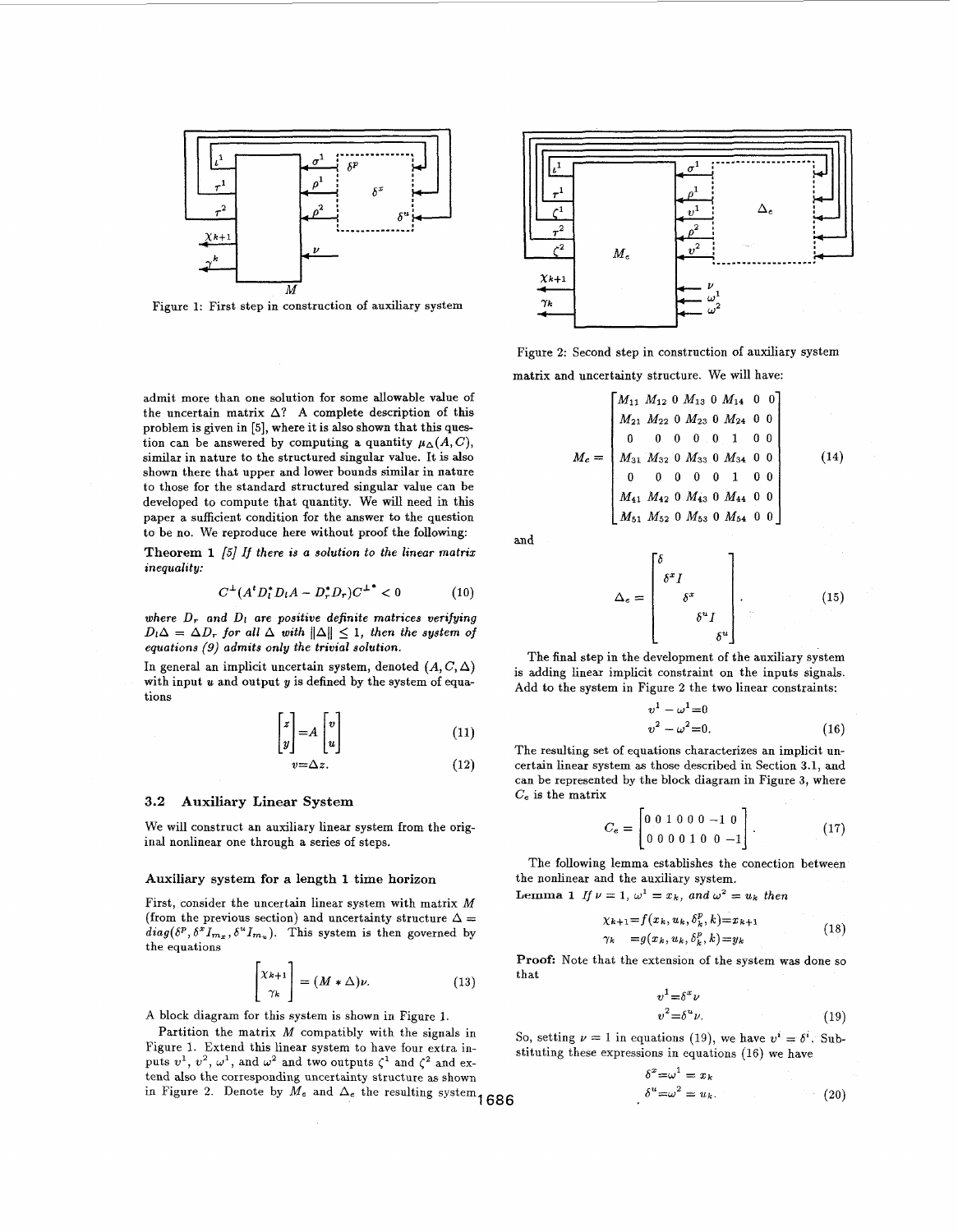

Figure **1:** First step in construction of auxiliary system

admit more than one solution for some allowable value **of**  the uncertain matrix  $\Delta$ ? A complete description of this problem is given in **[5],** where it is also shown that this question can be answered by computing a quantity  $\mu_{\Delta}(A, C)$ , similar in nature to the structured singular value. It is also shown there that upper and lower bounds similar in nature to those for the standard structured singular value can be developed to compute that quantity. We will need in this paper a sufficient condition for the answer to the question to be no. We reproduce here without proof the following:

**Theorem 1** *[5]* **If** *there is* **a solution** *to* **the linear matrix inequality:** 

$$
C^{\perp}(A^t D_t^* D_t A - D_r^* D_r) C^{\perp^*} < 0 \tag{10}
$$

where  $D_r$  and  $D_l$  are positive definite matrices verifying  $D_l \Delta = \Delta D_r$  for all  $\Delta$  with  $\|\Delta\| \leq 1$ , then the system of **equations** *(9)* **admits only** *the* **trivial solution.** 

In general an implicit uncertain system, denoted  $(A, C, \Delta)$ with input  $u$  and output  $y$  is defined by the system of equations

$$
\begin{bmatrix} z \\ y \end{bmatrix} = A \begin{bmatrix} v \\ u \end{bmatrix} \tag{11}
$$

$$
v=\Delta z.\tag{12}
$$

# **3.2 Auxiliary Linear System**

We will construct an auxiliary linear system from the original nonlinear one through a series of steps.

#### **Auxiliary system for a** length **1 time** horizon

First, consider the uncertain linear system with matrix *M*  (from the previous section) and uncertainty structure  $\Delta=$  $diag(\delta^p, \delta^x I_{m_x}, \delta^u I_{m_u})$ . This system is then governed by the equations

$$
\begin{bmatrix} \chi_{k+1} \\ \gamma_k \end{bmatrix} = (M * \Delta)\nu.
$$
 (13)

**A** block diagram for this system is shown in Figure 1.

Partition the matrix *M* compatibly with the signals in Figure 1. Extend this linear system to have four extra inputs  $v^1$ ,  $v^2$ ,  $\omega^1$ , and  $\omega^2$  and two outputs  $\zeta^1$  and  $\zeta^2$  and extend also the corresponding uncertainty structure as shown  $\delta^x = \omega^1 = x_k$ in Figure 2. Denote by  $M_e$  and  $\Delta_e$  the resulting system  $1686$ 



Figure 2: Second step in construction of auxiliary system matrix and uncertainty structure. We will have:

$$
M_e = \begin{bmatrix} M_{11} & M_{12} & 0 & M_{13} & 0 & M_{14} & 0 & 0 \\ M_{21} & M_{22} & 0 & M_{23} & 0 & M_{24} & 0 & 0 \\ 0 & 0 & 0 & 0 & 0 & 1 & 0 & 0 \\ M_{31} & M_{32} & 0 & M_{33} & 0 & M_{34} & 0 & 0 \\ 0 & 0 & 0 & 0 & 0 & 1 & 0 & 0 \\ M_{41} & M_{42} & 0 & M_{43} & 0 & M_{44} & 0 & 0 \\ M_{51} & M_{52} & 0 & M_{53} & 0 & M_{54} & 0 & 0 \end{bmatrix}
$$
(14)

and

$$
\Delta_e = \begin{bmatrix} \delta & & & \\ \delta^x I & & & \\ & \delta^x & & \\ & & \delta^u I & \\ & & & \delta^u \end{bmatrix} . \tag{15}
$$

The final step in the development of the auxiliary system is adding linear implicit constraint on the inputs signals. Add to the system in Figure 2 the two linear constraints:<br> $v^1 - \omega^1 = 0$ 

$$
v1 - \omega1 = 0
$$
  

$$
v2 - \omega2 = 0.
$$
 (16)

The resulting set of equations characterizes an implicit uncertain linear system **as** those described in Section **3.1,** and can be represented by the block diagram in Figure **3,** where *Ce* is the matrix

$$
C_e = \begin{bmatrix} 0 & 0 & 1 & 0 & 0 & 0 & -1 & 0 \\ 0 & 0 & 0 & 0 & 1 & 0 & 0 & -1 \end{bmatrix} . \tag{17}
$$

The following lemma establishes the conection between the nonlinear and the auxiliary system. **Lemma 1** *If*  $\nu = 1$ ,  $\omega^1 = x_k$ , and  $\omega^2 = u_k$  then

$$
\chi_{k+1} = f(x_k, u_k, \delta_k^p, k) = x_{k+1} \n\gamma_k = g(x_k, u_k, \delta_k^p, k) = y_k
$$
\n(18)

**Proof:** Note that the extension of the system was done so that

$$
v^1 = \delta^x \nu
$$
  

$$
v^2 = \delta^u \nu.
$$
 (19)

So, setting  $\nu = 1$  in equations (19), we have  $v^i = \delta^i$ . Substituting these expressions in equations **(16)** we have

$$
\delta^x = \omega^1 = x_k
$$
  

$$
\delta^u = \omega^2 = u_k.
$$
 (20)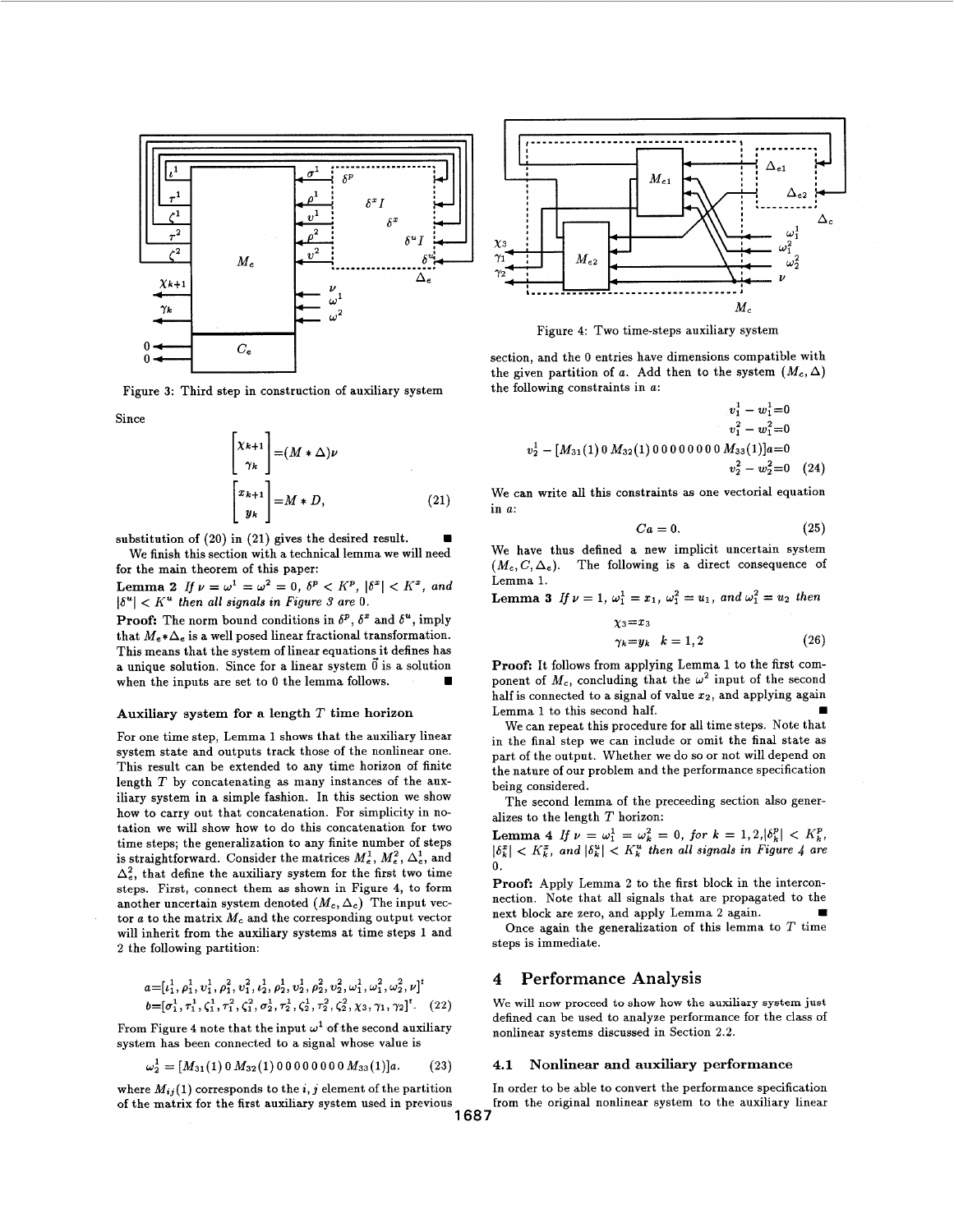

Figure **3:** Third step in construction of auxiliary system

Since

$$
\begin{bmatrix} \chi_{k+1} \\ \gamma_k \end{bmatrix} = (M * \Delta)\nu
$$
  

$$
\begin{bmatrix} x_{k+1} \\ y_k \end{bmatrix} = M * D,
$$
 (21)

substitution of **(20)** in **(21)** gives the desired result. We finish this section with a technical lemma we will need for the main theorem of this paper:

**Lemma 2** *If*  $\nu = \omega^1 = \omega^2 = 0$ ,  $\delta^p < K^p$ ,  $|\delta^x| < K^x$ , and  $|\delta^u| < K^u$  then all signals in Figure 3 are 0.

**Proof:** The norm bound conditions in  $\delta^p$ ,  $\delta^x$  and  $\delta^u$ , imply that  $M_e * \Delta_e$  is a well posed linear fractional transformation. This means that the system of linear equations it defines has a unique solution. Since for a linear system *0* is a solution when the inputs are set to 0 the lemma follows.

#### **Auxiliary system for a length** *T* **time horizon**

For one time step, Lemma **1** shows that the auxiliary linear system state and outputs track those of the nonlinear one. This result can be extended to any time horizon of finite length *T* by concatenating as many instances of the auxiliary system in a simple fashion. In this section we show how to carry out that concatenation. For simplicity in notation we will show how to do this concatenation for two time steps; the generalization to any finite number of steps is straightforward. Consider the matrices  $M_e^1, M_e^2, \Delta_e^1$ , and  $\Delta_e^2$ , that define the auxiliary system for the first two time steps. First, connect them **as** shown in Figure **4,** to form another uncertain system denoted  $(M_c, \Delta_c)$  The input vector  $a$  to the matrix  $M_c$  and the corresponding output vector will inherit from the auxiliary systems at time steps **1** and **2** the following partition:

$$
a = [t_1^1, \rho_1^1, v_1^1, \rho_1^2, v_1^2, t_2^1, \rho_2^1, v_2^1, \rho_2^2, v_2^2, \omega_1^1, \omega_1^2, \omega_2^2, \nu]^t
$$
  

$$
b = [\sigma_1^1, \tau_1^1, \zeta_1^1, \tau_1^2, \zeta_1^2, \sigma_2^1, \tau_2^1, \zeta_2^1, \tau_2^2, \zeta_2^2, \chi_3, \gamma_1, \gamma_2]^t. \quad (22)
$$

From Figure 4 note that the input  $\omega^1$  of the second auxiliary system has been connected to a signal whose value is

$$
\omega_2^1 = [M_{31}(1) 0 M_{32}(1) 0 0 0 0 0 0 0 M_{33}(1)]a.
$$
 (23)

where  $M_{ij}(1)$  corresponds to the *i*, *j* element of the partition of the matrix for the first auxiliary system used in previous<br>1687



Figure **4:** Two time-steps auxiliary system

section, and the *0* entries have dimensions compatible with the given partition of *a*. Add then to the system  $(M_c, \Delta)$ the following constraints in *a:* 

$$
v_1^1 - w_1^1 = 0
$$
  
\n
$$
v_1^2 - w_1^2 = 0
$$
  
\n
$$
v_2^1 - [M_{31}(1) 0 M_{32}(1) 0 0 0 0 0 0 0 0 M_{33}(1)]a = 0
$$
  
\n
$$
v_2^2 - w_2^2 = 0
$$
 (24)

We can write all this constraints **as** one vectorial equation in *a:* 

$$
Ca = 0.\t\t(25)
$$

We have thus defined a new implicit uncertain system  $(M_c, C, \Delta_e)$ . The following is a direct consequence of Lemma **1.** 

**Lemma 3** If  $\nu = 1$ ,  $\omega_1^1 = x_1$ ,  $\omega_1^2 = u_1$ , and  $\omega_1^2 = u_2$  then

$$
\begin{aligned}\n\chi_3 &= x_3\\ \n\gamma_k &= y_k \quad k = 1, 2\n\end{aligned} \tag{26}
$$

**Proof:** It follows from applying Lemma **1** to the first component of  $M_c$ , concluding that the  $\omega^2$  input of the second half is connected to a signal of value **22,** and applying again Lemma **1** to this second half.

We can repeat this procedure for all time steps. Note that in the final step we can include or omit the final state as part of the output. Whether we do so or not will depend on the nature of our problem and the performance specification being considered.

The second lemma of the preceeding section also generalizes to the length *T* horizon:

**Lemma 4** *If*  $\nu = \omega_1^1 = \omega_k^2 = 0$ , for  $k = 1, 2, |\delta_k^p| < K_k^p$ ,  $K_{k}^{x}$ , and  $|\delta_{k}^{u}|$  <  $K_{k}^{u}$  then all signals in Figure 4 are *0.* 

**Proof:** Apply Lemma **2** to the first block in the interconnection. Note that all signals that are propagated to the next block are zero, and apply Lemma **2** again.

Once again the generalization of this lemma to *T* time steps is immediate.

# **4 Performance Analysis**

We will now proceed to **show how the auxiliary system** just defined can be used to analyze performance for the class of nonlinear systems discussed in Section **2.2.** 

# **4.1 Nonlinear and auxiliary performance**

In order to be able to convert the performance specification from the original nonlinear system to the auxiliary linear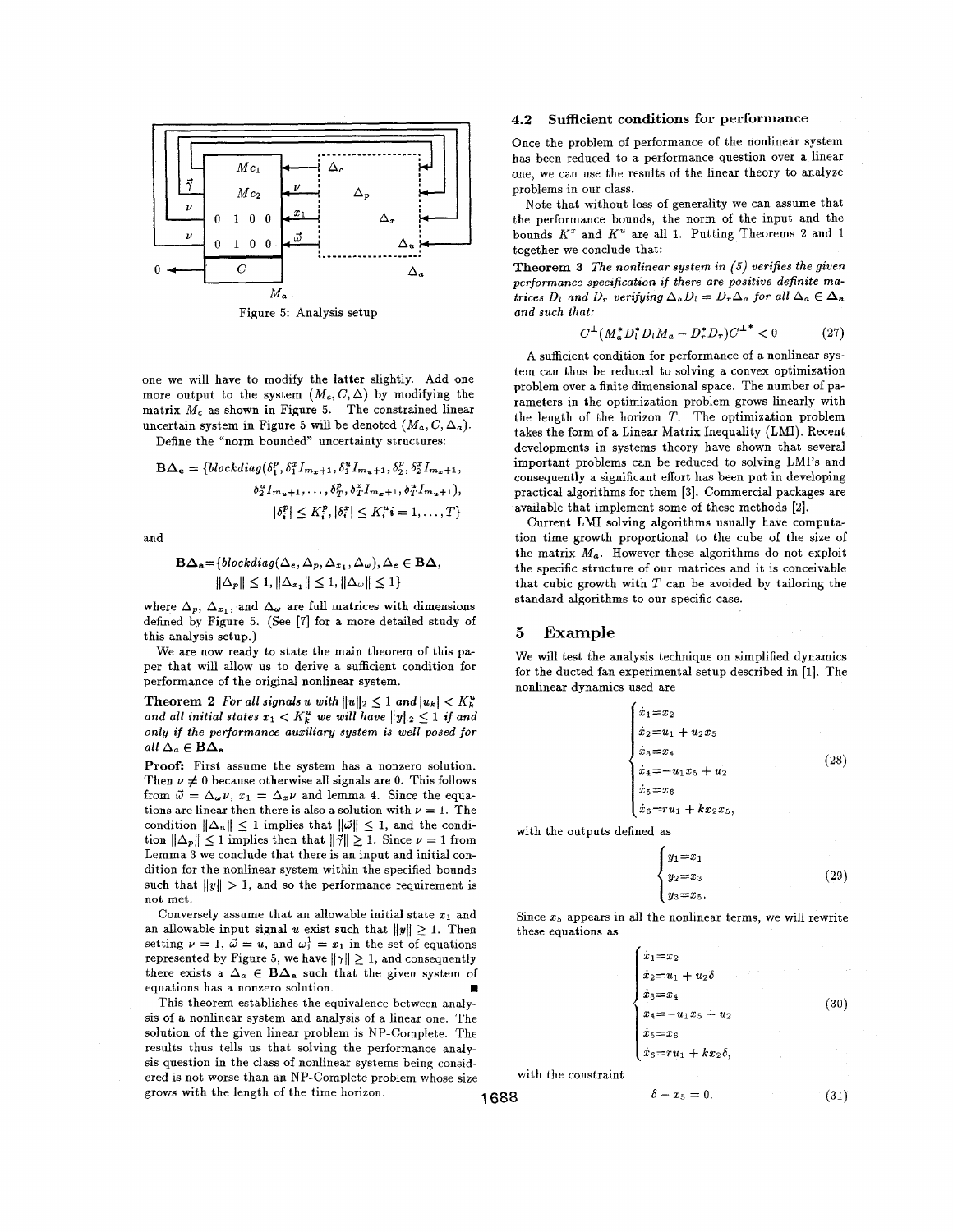

Figure 5: Analysis setup

one we will have to modify the latter slightly. Add one more output to the system  $(M_c, C, \Delta)$  by modifying the matrix  $M_c$  as shown in Figure 5. The constrained linear uncertain system in Figure 5 will be denoted  $(M_a, C, \Delta_a)$ .

Define the "norm bounded" uncertainty structures:

$$
\mathbf{B}\Delta_{\mathbf{e}} = \{blockdiag(\delta_1^p, \delta_1^x I_{m_x+1}, \delta_1^u I_{m_u+1}, \delta_2^p, \delta_2^x I_{m_x+1}, \\ \delta_2^u I_{m_u+1}, \dots, \delta_T^p, \delta_T^x I_{m_x+1}, \delta_T^u I_{m_u+1}), \\ |\delta_i^p| \le K_i^p, |\delta_i^x| \le K_i^u \cdot i = 1, \dots, T\}
$$

and

$$
\mathbf{B}\Delta_{\mathbf{a}} = \{blockdiag(\Delta_{\varepsilon}, \Delta_{p}, \Delta_{x_{1}}, \Delta_{\omega}), \Delta_{\varepsilon} \in \mathbf{B}\Delta, ||\Delta_{p}|| \leq 1, ||\Delta_{x_{1}}|| \leq 1, ||\Delta_{\omega}|| \leq 1 \}
$$

where  $\Delta_p$ ,  $\Delta_{x_1}$ , and  $\Delta_\omega$  are full matrices with dimensions defined by Figure **5.** (See **[7]** for a more detailed study of this analysis setup.)

We are now ready to state the main theorem of this paper that will allow us to derive a sufficient condition for performance of the original nonlinear system.

**Theorem 2** For all signals *u* with  $||u||_2 \leq 1$  and  $|u_k| < K_k^u$ and all initial states  $x_1 < K_k^u$  we will have  $||y||_2 \leq 1$  if and only if the performance auxdiary system *is* well posed for all  $\Delta_a \in \mathbf{B}\Delta_a$ 

**Proof:** First assume the system has a nonzero solution. Then  $\nu \neq 0$  because otherwise all signals are 0. This follows from  $\vec{\omega} = \Delta_{\omega} \nu$ ,  $x_1 = \Delta_x \nu$  and lemma 4. Since the equations are linear then there is also a solution with  $\nu = 1$ . The condition  $\|\Delta_u\| \leq 1$  implies that  $\|\vec{\omega}\| \leq 1$ , and the condition  $\|\Delta_p\| \leq 1$  implies then that  $\|\vec{\gamma}\| \geq 1$ . Since  $\nu = 1$  from Lemma **3** we conclude that there is an input and initial condition for the nonlinear system within the specified bounds such that  $||y|| > 1$ , and so the performance requirement is not met.

Conversely assume that an allowable initial state  $x_1$  and an allowable input signal *u* exist such that  $||y|| \ge 1$ . Then setting  $\nu = 1$ ,  $\vec{\omega} = u$ , and  $\omega_1^1 = x_1$  in the set of equations represented by Figure 5, we have  $\|\gamma\| \geq 1$ , and consequently there exists a  $\Delta_a \in \mathbf{B}\Delta_a$  such that the given system of equations has a nonzero solution.  $\blacksquare$ 

This theorem establishes the equivalence between analysis of a nonlinear system and analysis of a linear one. The solution of the given linear problem is NP-complete. The results thus tells us that solving the performance analysis question in the class of nonlinear systems being considered is not worse than an NP-complete problem whose size grows with the length of the time horizon. **1688**  $\delta - x_5 = 0$ .

#### **4.2** Sufficient conditions for performance

Once the problem of performance of the nonlinear system has been reduced to a performance question over a linear one, we can use the results of the linear theory to analyze problems in our class.

Note that without loss of generality we can assume that the performance bounds, the norm of the input and the bounds *K"* and *K"* are all **1.** Putting Theorems **2** and 1 together we conclude that:

**Theorem 3** The nonlinear system in (5) verifies the given performance specification if there are positive definite matrices  $D_l$  and  $D_r$  verifying  $\Delta_a D_l = D_r \Delta_a$  for all  $\Delta_a \in \Delta_a$ and such that:

$$
C^{\perp}(M_a^* D_l^* D_l M_a - D_r^* D_r)C^{\perp^*} < 0 \tag{27}
$$

A sufficient condition for performance of a nonlinear system can thus be reduced to solving a convex optimization problem over a finite dimensional space. The number of parameters in the optimization problem grows linearly with the length of the horizon *T.* The optimization problem takes the form of a Linear Matrix Inequality (LMI). Recent developments in systems theory have shown that several important problems can be reduced to solving LMI's and consequently a significant effort has been put in developing practical algorithms for them **[3].** Commercial packages are available that implement some of these methods *[2].* 

Current LMI solving algorithms usually have computation time growth proportional to the cube of the size of the matrix  $M_a$ . However these algorithms do not exploit the specific structure of our matrices and it is conceivable that cubic growth with *T* can be avoided by tailoring the standard algorithms to our specific case.

### *5* **Example**

We will test the analysis technique on simplified dynamics for the ducted fan experimental setup described in [I]. The nonlinear dynamics used are

| $\dot{x}_1\!=\!x_2$            |  |
|--------------------------------|--|
| $\dot{x}_2 = u_1 + u_2 x_5$    |  |
| $\dot{x}_3\!=\!x_4$            |  |
| $\dot{x}_4 =$<br>$-u_1x_5+u_2$ |  |
| $\dot{x}_5\!=\!x_6$            |  |
| $\dot{x}_6 = ru_1 + kx_2x_5,$  |  |

with the outputs defined as

$$
\begin{cases}\n y_1 = x_1 \\
 y_2 = x_3 \\
 y_3 = x_5.\n\end{cases}
$$
\n(29)

Since *25* appears in all the nonlinear terms, we will rewrite these equations as

 $x_1 = x_2$  $\dot{x}_2 = u_1 + u_2 \delta$  $x_3=x_4$  $(30)$  $-u_1x_5 + u_2$  $x_5 = x_6$  $x_6 = ru_1 + kx_2\delta$ with the constraint

$$
^{\rm 688}
$$

 $(31)$